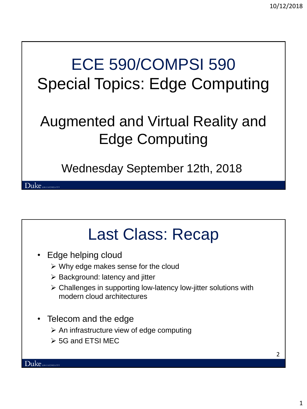## ECE 590/COMPSI 590 Special Topics: Edge Computing

#### Augmented and Virtual Reality and Edge Computing

Wednesday September 12th, 2018

#### Last Class: Recap

- Edge helping cloud
	- $\triangleright$  Why edge makes sense for the cloud
	- $\triangleright$  Background: latency and jitter
	- Challenges in supporting low-latency low-jitter solutions with modern cloud architectures
- Telecom and the edge
	- $\triangleright$  An infrastructure view of edge computing
	- **► 5G and ETSI MEC**

Duke UNIVERSITY

2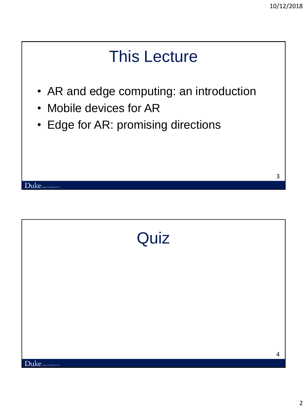# This Lecture • AR and edge computing: an introduction • Mobile devices for AR • Edge for AR: promising directions 3 Duke UNIVERSITY

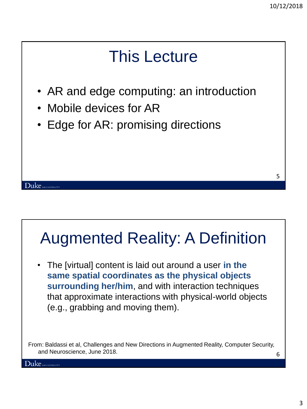#### This Lecture

- AR and edge computing: an introduction
- Mobile devices for AR
- Edge for AR: promising directions

#### 5

#### Augmented Reality: A Definition

• The [virtual] content is laid out around a user **in the same spatial coordinates as the physical objects surrounding her/him**, and with interaction techniques that approximate interactions with physical-world objects (e.g., grabbing and moving them).

6 From: Baldassi et al, Challenges and New Directions in Augmented Reality, Computer Security, and Neuroscience, June 2018.

 ${\rm Duke}$ university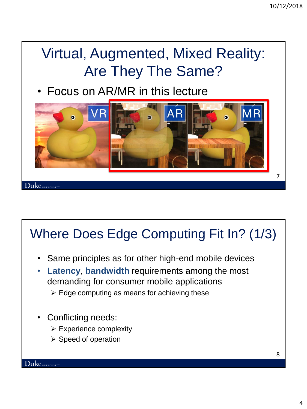#### Virtual, Augmented, Mixed Reality: Are They The Same?

• Focus on AR/MR in this lecture



#### Where Does Edge Computing Fit In? (1/3)

- Same principles as for other high-end mobile devices
- **Latency**, **bandwidth** requirements among the most demanding for consumer mobile applications
	- $\triangleright$  Edge computing as means for achieving these
- Conflicting needs:
	- $\triangleright$  Experience complexity
	- $\triangleright$  Speed of operation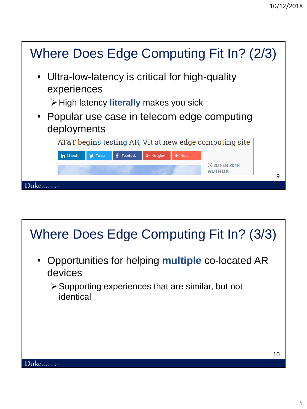

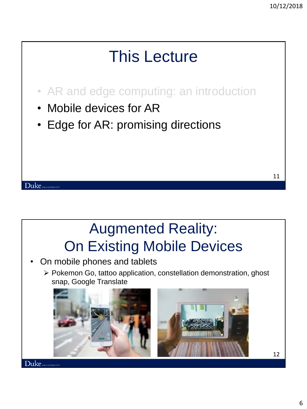#### This Lecture

- AR and edge computing: an introduction
- Mobile devices for AR

Duke UNIVERSITY

• Edge for AR: promising directions

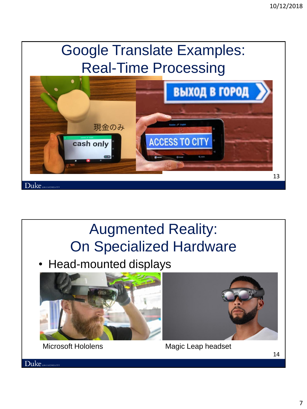#### Google Translate Examples: Real-Time Processing



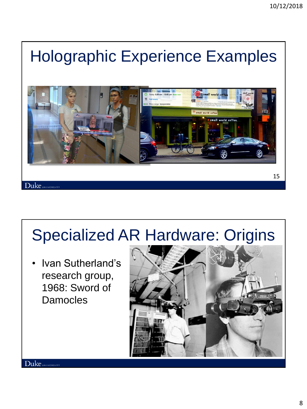#### Holographic Experience Examples



#### Specialized AR Hardware: Origins

• Ivan Sutherland's research group, 1968: Sword of Damocles

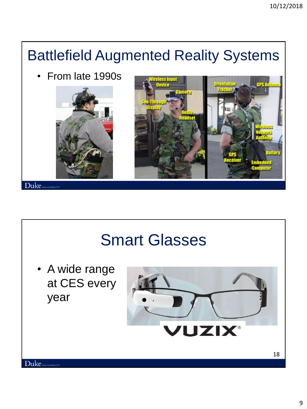#### Battlefield Augmented Reality Systems

• From late 1990s





#### Smart Glasses

• A wide range at CES every year

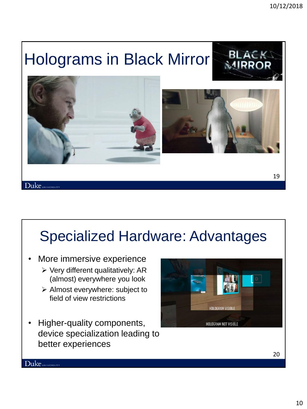#### Holograms in Black Mirror





#### Duke UNIVERSITY

#### Specialized Hardware: Advantages

- More immersive experience
	- $\triangleright$  Very different qualitatively: AR (almost) everywhere you look
	- Almost everywhere: subject to field of view restrictions
- Higher-quality components, device specialization leading to better experiences

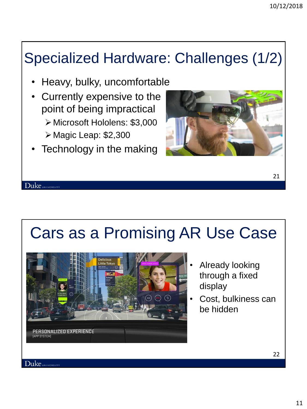#### Specialized Hardware: Challenges (1/2)

- Heavy, bulky, uncomfortable
- Currently expensive to the point of being impractical Microsoft Hololens: \$3,000  $\triangleright$  Magic Leap: \$2,300
- Technology in the making



#### Cars as a Promising AR Use Case



- Already looking through a fixed display
- Cost, bulkiness can be hidden

22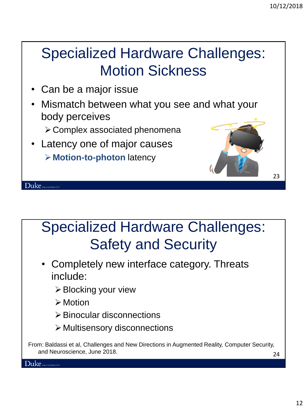#### Specialized Hardware Challenges: Motion Sickness

- Can be a major issue
- Mismatch between what you see and what your body perceives
	- Complex associated phenomena
- Latency one of major causes **Motion-to-photon** latency



#### Specialized Hardware Challenges: Safety and Security

- Completely new interface category. Threats include:
	- **≻ Blocking your view**
	- **≻** Motion
	- $\triangleright$  Binocular disconnections
	- $\triangleright$  Multisensory disconnections

From: Baldassi et al, Challenges and New Directions in Augmented Reality, Computer Security, and Neuroscience, June 2018.

24

23

Duke UNIVERSITY

 ${\rm Duke}$  UNIVERSITY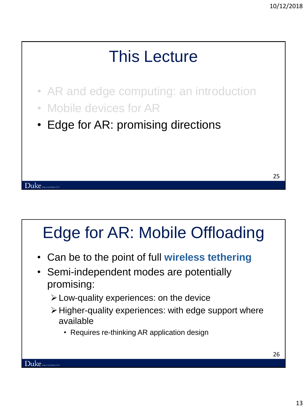

## Edge for AR: Mobile Offloading

- Can be to the point of full **wireless tethering**
- Semi-independent modes are potentially promising:
	- Low-quality experiences: on the device
	- $\triangleright$  Higher-quality experiences: with edge support where available
		- Requires re-thinking AR application design

26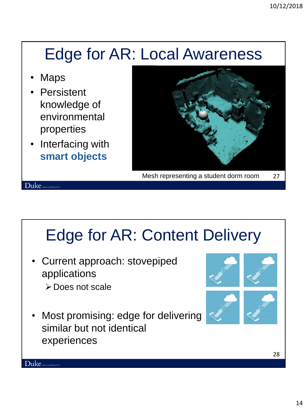#### Edge for AR: Local Awareness

**Maps** 

Duke UNIVERSITY

- **Persistent** knowledge of environmental properties
- Interfacing with **smart objects**



## Edge for AR: Content Delivery

- Current approach: stovepiped applications
	- **≻** Does not scale
- Most promising: edge for delivering similar but not identical experiences



28